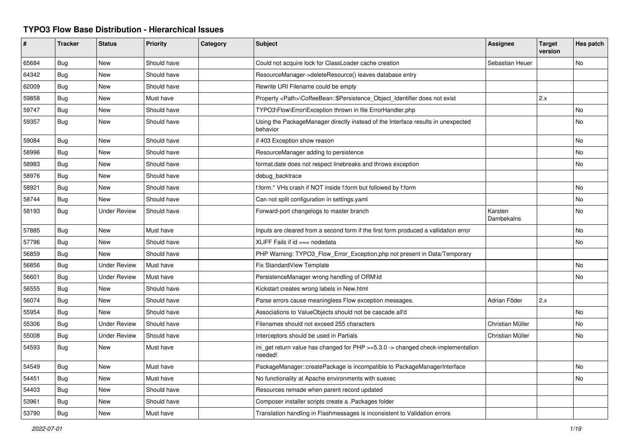## **TYPO3 Flow Base Distribution - Hierarchical Issues**

| #     | <b>Tracker</b> | <b>Status</b>       | <b>Priority</b> | Category | Subject                                                                                          | <b>Assignee</b>       | Target<br>version | Has patch |
|-------|----------------|---------------------|-----------------|----------|--------------------------------------------------------------------------------------------------|-----------------------|-------------------|-----------|
| 65684 | Bug            | <b>New</b>          | Should have     |          | Could not acquire lock for ClassLoader cache creation                                            | Sebastian Heuer       |                   | <b>No</b> |
| 64342 | Bug            | New                 | Should have     |          | ResourceManager->deleteResource() leaves database entry                                          |                       |                   |           |
| 62009 | <b>Bug</b>     | New                 | Should have     |          | Rewrite URI Filename could be empty                                                              |                       |                   |           |
| 59858 | <b>Bug</b>     | New                 | Must have       |          | Property <path>\CoffeeBean::\$Persistence_Object_Identifier does not exist</path>                |                       | 2.x               |           |
| 59747 | <b>Bug</b>     | <b>New</b>          | Should have     |          | TYPO3\Flow\Error\Exception thrown in file ErrorHandler.php                                       |                       |                   | <b>No</b> |
| 59357 | <b>Bug</b>     | <b>New</b>          | Should have     |          | Using the PackageManager directly instead of the Interface results in unexpected<br>behavior     |                       |                   | <b>No</b> |
| 59084 | Bug            | <b>New</b>          | Should have     |          | if 403 Exception show reason                                                                     |                       |                   | <b>No</b> |
| 58996 | Bug            | New                 | Should have     |          | ResourceManager adding to persistence                                                            |                       |                   | No        |
| 58983 | <b>Bug</b>     | New                 | Should have     |          | format.date does not respect linebreaks and throws exception                                     |                       |                   | No        |
| 58976 | Bug            | New                 | Should have     |          | debug_backtrace                                                                                  |                       |                   |           |
| 58921 | <b>Bug</b>     | New                 | Should have     |          | f:form.* VHs crash if NOT inside f:form but followed by f:form                                   |                       |                   | <b>No</b> |
| 58744 | <b>Bug</b>     | <b>New</b>          | Should have     |          | Can not split configuration in settings.yaml                                                     |                       |                   | <b>No</b> |
| 58193 | <b>Bug</b>     | <b>Under Review</b> | Should have     |          | Forward-port changelogs to master branch                                                         | Karsten<br>Dambekalns |                   | <b>No</b> |
| 57885 | <b>Bug</b>     | <b>New</b>          | Must have       |          | Inputs are cleared from a second form if the first form produced a vallidation error             |                       |                   | <b>No</b> |
| 57796 | <b>Bug</b>     | New                 | Should have     |          | $XLIFF$ Fails if $id ==$ nodedata                                                                |                       |                   | <b>No</b> |
| 56859 | <b>Bug</b>     | New                 | Should have     |          | PHP Warning: TYPO3 Flow Error Exception.php not present in Data/Temporary                        |                       |                   |           |
| 56856 | Bug            | <b>Under Review</b> | Must have       |          | Fix StandardView Template                                                                        |                       |                   | No        |
| 56601 | Bug            | <b>Under Review</b> | Must have       |          | PersistenceManager wrong handling of ORM\ld                                                      |                       |                   | No        |
| 56555 | <b>Bug</b>     | <b>New</b>          | Should have     |          | Kickstart creates wrong labels in New.html                                                       |                       |                   |           |
| 56074 | <b>Bug</b>     | <b>New</b>          | Should have     |          | Parse errors cause meaningless Flow exception messages.                                          | Adrian Föder          | 2.x               |           |
| 55954 | <b>Bug</b>     | <b>New</b>          | Should have     |          | Associations to ValueObjects should not be cascade all'd                                         |                       |                   | <b>No</b> |
| 55306 | Bug            | <b>Under Review</b> | Should have     |          | Filenames should not exceed 255 characters                                                       | Christian Müller      |                   | No        |
| 55008 | <b>Bug</b>     | <b>Under Review</b> | Should have     |          | Interceptors should be used in Partials                                                          | Christian Müller      |                   | <b>No</b> |
| 54593 | <b>Bug</b>     | <b>New</b>          | Must have       |          | ini get return value has changed for $PHP \ge 5.3.0 \ge$ changed check-implementation<br>needed! |                       |                   |           |
| 54549 | <b>Bug</b>     | New                 | Must have       |          | PackageManager::createPackage is incompatible to PackageManagerInterface                         |                       |                   | <b>No</b> |
| 54451 | Bug            | New                 | Must have       |          | No functionality at Apache environments with suexec                                              |                       |                   | No        |
| 54403 | Bug            | New                 | Should have     |          | Resources remade when parent record updated                                                      |                       |                   |           |
| 53961 | <b>Bug</b>     | <b>New</b>          | Should have     |          | Composer installer scripts create a .Packages folder                                             |                       |                   |           |
| 53790 | Bug            | <b>New</b>          | Must have       |          | Translation handling in Flashmessages is inconsistent to Validation errors                       |                       |                   |           |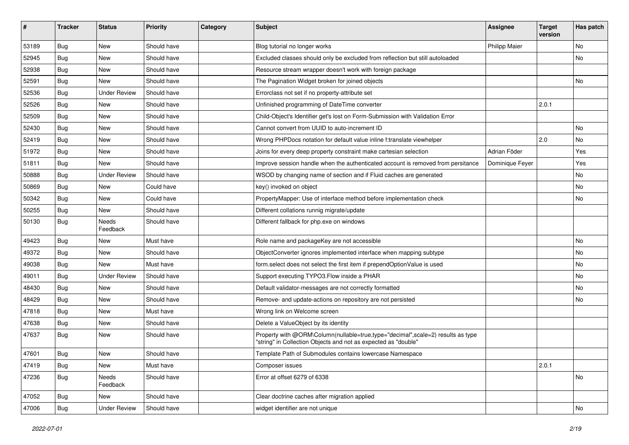| #     | <b>Tracker</b> | <b>Status</b>       | <b>Priority</b> | Category | <b>Subject</b>                                                                                                                                    | Assignee             | <b>Target</b><br>version | Has patch |
|-------|----------------|---------------------|-----------------|----------|---------------------------------------------------------------------------------------------------------------------------------------------------|----------------------|--------------------------|-----------|
| 53189 | <b>Bug</b>     | New                 | Should have     |          | Blog tutorial no longer works                                                                                                                     | <b>Philipp Maier</b> |                          | <b>No</b> |
| 52945 | <b>Bug</b>     | New                 | Should have     |          | Excluded classes should only be excluded from reflection but still autoloaded                                                                     |                      |                          | No        |
| 52938 | <b>Bug</b>     | New                 | Should have     |          | Resource stream wrapper doesn't work with foreign package                                                                                         |                      |                          |           |
| 52591 | <b>Bug</b>     | <b>New</b>          | Should have     |          | The Pagination Widget broken for joined objects                                                                                                   |                      |                          | No        |
| 52536 | <b>Bug</b>     | <b>Under Review</b> | Should have     |          | Errorclass not set if no property-attribute set                                                                                                   |                      |                          |           |
| 52526 | <b>Bug</b>     | New                 | Should have     |          | Unfinished programming of DateTime converter                                                                                                      |                      | 2.0.1                    |           |
| 52509 | <b>Bug</b>     | New                 | Should have     |          | Child-Object's Identifier get's lost on Form-Submission with Validation Error                                                                     |                      |                          |           |
| 52430 | <b>Bug</b>     | New                 | Should have     |          | Cannot convert from UUID to auto-increment ID                                                                                                     |                      |                          | No        |
| 52419 | <b>Bug</b>     | New                 | Should have     |          | Wrong PHPDocs notation for default value inline f:translate viewhelper                                                                            |                      | 2.0                      | No        |
| 51972 | <b>Bug</b>     | New                 | Should have     |          | Joins for every deep property constraint make cartesian selection                                                                                 | Adrian Föder         |                          | Yes       |
| 51811 | <b>Bug</b>     | New                 | Should have     |          | Improve session handle when the authenticated account is removed from persitance                                                                  | Dominique Feyer      |                          | Yes       |
| 50888 | <b>Bug</b>     | <b>Under Review</b> | Should have     |          | WSOD by changing name of section and if Fluid caches are generated                                                                                |                      |                          | No        |
| 50869 | <b>Bug</b>     | New                 | Could have      |          | key() invoked on object                                                                                                                           |                      |                          | No        |
| 50342 | <b>Bug</b>     | New                 | Could have      |          | PropertyMapper: Use of interface method before implementation check                                                                               |                      |                          | No        |
| 50255 | <b>Bug</b>     | New                 | Should have     |          | Different collations runnig migrate/update                                                                                                        |                      |                          |           |
| 50130 | <b>Bug</b>     | Needs<br>Feedback   | Should have     |          | Different fallback for php.exe on windows                                                                                                         |                      |                          |           |
| 49423 | <b>Bug</b>     | New                 | Must have       |          | Role name and packageKey are not accessible                                                                                                       |                      |                          | <b>No</b> |
| 49372 | <b>Bug</b>     | New                 | Should have     |          | ObjectConverter ignores implemented interface when mapping subtype                                                                                |                      |                          | <b>No</b> |
| 49038 | <b>Bug</b>     | New                 | Must have       |          | form select does not select the first item if prependOptionValue is used                                                                          |                      |                          | No        |
| 49011 | <b>Bug</b>     | <b>Under Review</b> | Should have     |          | Support executing TYPO3. Flow inside a PHAR                                                                                                       |                      |                          | No        |
| 48430 | <b>Bug</b>     | New                 | Should have     |          | Default validator-messages are not correctly formatted                                                                                            |                      |                          | No        |
| 48429 | <b>Bug</b>     | New                 | Should have     |          | Remove- and update-actions on repository are not persisted                                                                                        |                      |                          | No        |
| 47818 | <b>Bug</b>     | New                 | Must have       |          | Wrong link on Welcome screen                                                                                                                      |                      |                          |           |
| 47638 | Bug            | New                 | Should have     |          | Delete a ValueObject by its identity                                                                                                              |                      |                          |           |
| 47637 | Bug            | New                 | Should have     |          | Property with @ORM\Column(nullable=true,type="decimal",scale=2) results as type<br>"string" in Collection Objects and not as expected as "double" |                      |                          |           |
| 47601 | Bug            | New                 | Should have     |          | Template Path of Submodules contains lowercase Namespace                                                                                          |                      |                          |           |
| 47419 | <b>Bug</b>     | New                 | Must have       |          | Composer issues                                                                                                                                   |                      | 2.0.1                    |           |
| 47236 | <b>Bug</b>     | Needs<br>Feedback   | Should have     |          | Error at offset 6279 of 6338                                                                                                                      |                      |                          | No        |
| 47052 | <b>Bug</b>     | New                 | Should have     |          | Clear doctrine caches after migration applied                                                                                                     |                      |                          |           |
| 47006 | <b>Bug</b>     | <b>Under Review</b> | Should have     |          | widget identifier are not unique                                                                                                                  |                      |                          | No        |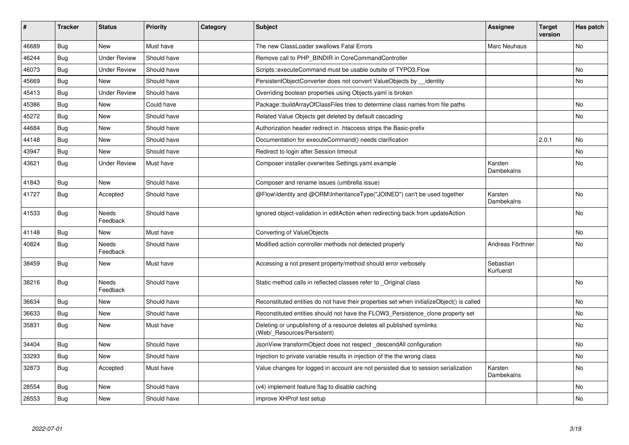| #     | <b>Tracker</b> | <b>Status</b>       | <b>Priority</b> | Category | <b>Subject</b>                                                                                       | <b>Assignee</b>        | <b>Target</b><br>version | Has patch |
|-------|----------------|---------------------|-----------------|----------|------------------------------------------------------------------------------------------------------|------------------------|--------------------------|-----------|
| 46689 | <b>Bug</b>     | <b>New</b>          | Must have       |          | The new ClassLoader swallows Fatal Errors                                                            | Marc Neuhaus           |                          | <b>No</b> |
| 46244 | Bug            | <b>Under Review</b> | Should have     |          | Remove call to PHP BINDIR in CoreCommandController                                                   |                        |                          |           |
| 46073 | <b>Bug</b>     | <b>Under Review</b> | Should have     |          | Scripts::executeCommand must be usable outsite of TYPO3.Flow                                         |                        |                          | <b>No</b> |
| 45669 | <b>Bug</b>     | New                 | Should have     |          | PersistentObjectConverter does not convert ValueObjects by __ identity                               |                        |                          | No        |
| 45413 | <b>Bug</b>     | <b>Under Review</b> | Should have     |          | Overriding boolean properties using Objects yaml is broken                                           |                        |                          |           |
| 45386 | <b>Bug</b>     | <b>New</b>          | Could have      |          | Package::buildArrayOfClassFiles tries to determine class names from file paths                       |                        |                          | No        |
| 45272 | Bug            | New                 | Should have     |          | Related Value Objects get deleted by default cascading                                               |                        |                          | No        |
| 44684 | <b>Bug</b>     | <b>New</b>          | Should have     |          | Authorization header redirect in .htaccess strips the Basic-prefix                                   |                        |                          |           |
| 44148 | Bug            | <b>New</b>          | Should have     |          | Documentation for executeCommand() needs clarification                                               |                        | 2.0.1                    | <b>No</b> |
| 43947 | <b>Bug</b>     | <b>New</b>          | Should have     |          | Redirect to login after Session timeout                                                              |                        |                          | <b>No</b> |
| 43621 | Bug            | <b>Under Review</b> | Must have       |          | Composer installer overwrites Settings.yaml.example                                                  | Karsten<br>Dambekalns  |                          | No        |
| 41843 | <b>Bug</b>     | <b>New</b>          | Should have     |          | Composer and rename issues (umbrella issue)                                                          |                        |                          |           |
| 41727 | Bug            | Accepted            | Should have     |          | @Flow\Identity and @ORM\InheritanceType("JOINED") can't be used together                             | Karsten<br>Dambekalns  |                          | No        |
| 41533 | <b>Bug</b>     | Needs<br>Feedback   | Should have     |          | Ignored object-validation in editAction when redirecting back from updateAction                      |                        |                          | <b>No</b> |
| 41148 | <b>Bug</b>     | <b>New</b>          | Must have       |          | Converting of ValueObjects                                                                           |                        |                          | <b>No</b> |
| 40824 | <b>Bug</b>     | Needs<br>Feedback   | Should have     |          | Modified action controller methods not detected properly                                             | Andreas Förthner       |                          | <b>No</b> |
| 38459 | Bug            | New                 | Must have       |          | Accessing a not present property/method should error verbosely                                       | Sebastian<br>Kurfuerst |                          |           |
| 38216 | <b>Bug</b>     | Needs<br>Feedback   | Should have     |          | Static method calls in reflected classes refer to _Original class                                    |                        |                          | <b>No</b> |
| 36634 | Bug            | <b>New</b>          | Should have     |          | Reconstituted entities do not have their properties set when initializeObject() is called            |                        |                          | <b>No</b> |
| 36633 | <b>Bug</b>     | <b>New</b>          | Should have     |          | Reconstituted entities should not have the FLOW3 Persistence clone property set                      |                        |                          | <b>No</b> |
| 35831 | <b>Bug</b>     | New                 | Must have       |          | Deleting or unpublishing of a resource deletes all published symlinks<br>(Web/_Resources/Persistent) |                        |                          | <b>No</b> |
| 34404 | <b>Bug</b>     | <b>New</b>          | Should have     |          | JsonView transformObject does not respect_descendAll configuration                                   |                        |                          | <b>No</b> |
| 33293 | <b>Bug</b>     | <b>New</b>          | Should have     |          | Injection to private variable results in injection of the the wrong class                            |                        |                          | No        |
| 32873 | Bug            | Accepted            | Must have       |          | Value changes for logged in account are not persisted due to session serialization                   | Karsten<br>Dambekalns  |                          | No        |
| 28554 | Bug            | New                 | Should have     |          | (v4) implement feature flag to disable caching                                                       |                        |                          | <b>No</b> |
| 28553 | <b>Bug</b>     | New                 | Should have     |          | improve XHProf test setup                                                                            |                        |                          | <b>No</b> |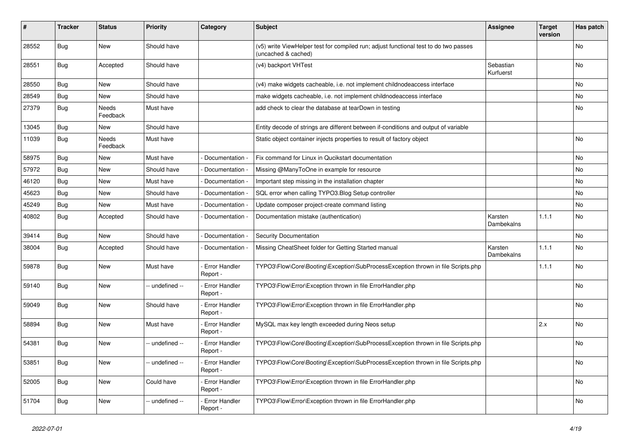| ∦     | <b>Tracker</b> | <b>Status</b>     | <b>Priority</b> | Category                         | Subject                                                                                                     | <b>Assignee</b>        | <b>Target</b><br>version | Has patch |
|-------|----------------|-------------------|-----------------|----------------------------------|-------------------------------------------------------------------------------------------------------------|------------------------|--------------------------|-----------|
| 28552 | <b>Bug</b>     | <b>New</b>        | Should have     |                                  | (v5) write ViewHelper test for compiled run; adjust functional test to do two passes<br>(uncached & cached) |                        |                          | No        |
| 28551 | <b>Bug</b>     | Accepted          | Should have     |                                  | (v4) backport VHTest                                                                                        | Sebastian<br>Kurfuerst |                          | No        |
| 28550 | Bug            | New               | Should have     |                                  | (v4) make widgets cacheable, i.e. not implement childnodeaccess interface                                   |                        |                          | No        |
| 28549 | <b>Bug</b>     | New               | Should have     |                                  | make widgets cacheable, i.e. not implement childnodeaccess interface                                        |                        |                          | No        |
| 27379 | <b>Bug</b>     | Needs<br>Feedback | Must have       |                                  | add check to clear the database at tearDown in testing                                                      |                        |                          | No        |
| 13045 | Bug            | <b>New</b>        | Should have     |                                  | Entity decode of strings are different between if-conditions and output of variable                         |                        |                          |           |
| 11039 | <b>Bug</b>     | Needs<br>Feedback | Must have       |                                  | Static object container injects properties to result of factory object                                      |                        |                          | No        |
| 58975 | Bug            | <b>New</b>        | Must have       | Documentation -                  | Fix command for Linux in Qucikstart documentation                                                           |                        |                          | No        |
| 57972 | Bug            | New               | Should have     | Documentation -                  | Missing @ManyToOne in example for resource                                                                  |                        |                          | No        |
| 46120 | <b>Bug</b>     | New               | Must have       | Documentation -                  | Important step missing in the installation chapter                                                          |                        |                          | No        |
| 45623 | <b>Bug</b>     | New               | Should have     | Documentation -                  | SQL error when calling TYPO3.Blog Setup controller                                                          |                        |                          | No        |
| 45249 | <b>Bug</b>     | New               | Must have       | Documentation -                  | Update composer project-create command listing                                                              |                        |                          | No        |
| 40802 | Bug            | Accepted          | Should have     | Documentation -                  | Documentation mistake (authentication)                                                                      | Karsten<br>Dambekalns  | 1.1.1                    | No        |
| 39414 | Bug            | New               | Should have     | Documentation -                  | Security Documentation                                                                                      |                        |                          | No        |
| 38004 | <b>Bug</b>     | Accepted          | Should have     | Documentation -                  | Missing CheatSheet folder for Getting Started manual                                                        | Karsten<br>Dambekalns  | 1.1.1                    | No        |
| 59878 | <b>Bug</b>     | New               | Must have       | Error Handler<br>Report -        | TYPO3\Flow\Core\Booting\Exception\SubProcessException thrown in file Scripts.php                            |                        | 1.1.1                    | No        |
| 59140 | Bug            | New               | -- undefined -- | Error Handler<br>Report -        | TYPO3\Flow\Error\Exception thrown in file ErrorHandler.php                                                  |                        |                          | No        |
| 59049 | Bug            | New               | Should have     | Error Handler<br>Report -        | TYPO3\Flow\Error\Exception thrown in file ErrorHandler.php                                                  |                        |                          | No        |
| 58894 | Bug            | New               | Must have       | Error Handler<br>Report -        | MySQL max key length exceeded during Neos setup                                                             |                        | 2.x                      | No        |
| 54381 | <b>Bug</b>     | New               | - undefined --  | Error Handler<br>Report -        | TYPO3\Flow\Core\Booting\Exception\SubProcessException thrown in file Scripts.php                            |                        |                          | No        |
| 53851 | <b>Bug</b>     | New               | -- undefined -- | <b>Error Handler</b><br>Report - | TYPO3\Flow\Core\Booting\Exception\SubProcessException thrown in file Scripts.php                            |                        |                          | No        |
| 52005 | <b>Bug</b>     | New               | Could have      | Error Handler<br>Report -        | TYPO3\Flow\Error\Exception thrown in file ErrorHandler.php                                                  |                        |                          | No        |
| 51704 | <b>Bug</b>     | New               | -- undefined -- | Error Handler<br>Report -        | TYPO3\Flow\Error\Exception thrown in file ErrorHandler.php                                                  |                        |                          | No        |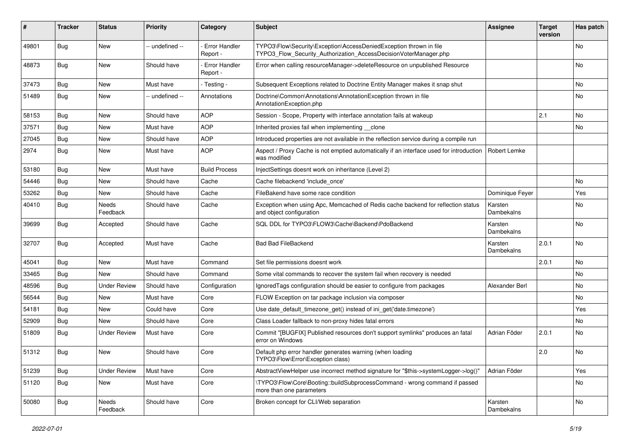| #     | <b>Tracker</b> | <b>Status</b>       | <b>Priority</b> | Category                  | <b>Subject</b>                                                                                                                         | <b>Assignee</b>       | <b>Target</b><br>version | Has patch |
|-------|----------------|---------------------|-----------------|---------------------------|----------------------------------------------------------------------------------------------------------------------------------------|-----------------------|--------------------------|-----------|
| 49801 | <b>Bug</b>     | New                 | -- undefined -- | Error Handler<br>Report - | TYPO3\Flow\Security\Exception\AccessDeniedException thrown in file<br>TYPO3_Flow_Security_Authorization_AccessDecisionVoterManager.php |                       |                          | <b>No</b> |
| 48873 | Bug            | <b>New</b>          | Should have     | Error Handler<br>Report - | Error when calling resourceManager->deleteResource on unpublished Resource                                                             |                       |                          | <b>No</b> |
| 37473 | <b>Bug</b>     | <b>New</b>          | Must have       | - Testing -               | Subsequent Exceptions related to Doctrine Entity Manager makes it snap shut                                                            |                       |                          | <b>No</b> |
| 51489 | <b>Bug</b>     | New                 | -- undefined -- | Annotations               | Doctrine\Common\Annotations\AnnotationException thrown in file<br>AnnotationException.php                                              |                       |                          | <b>No</b> |
| 58153 | <b>Bug</b>     | New                 | Should have     | <b>AOP</b>                | Session - Scope, Property with interface annotation fails at wakeup                                                                    |                       | 2.1                      | No        |
| 37571 | <b>Bug</b>     | <b>New</b>          | Must have       | <b>AOP</b>                | Inherited proxies fail when implementing __clone                                                                                       |                       |                          | <b>No</b> |
| 27045 | <b>Bug</b>     | New                 | Should have     | <b>AOP</b>                | Introduced properties are not available in the reflection service during a compile run                                                 |                       |                          |           |
| 2974  | Bug            | New                 | Must have       | <b>AOP</b>                | Aspect / Proxy Cache is not emptied automatically if an interface used for introduction<br>was modified                                | Robert Lemke          |                          |           |
| 53180 | <b>Bug</b>     | New                 | Must have       | <b>Build Process</b>      | InjectSettings doesnt work on inheritance (Level 2)                                                                                    |                       |                          |           |
| 54446 | <b>Bug</b>     | New                 | Should have     | Cache                     | Cache filebackend 'include once'                                                                                                       |                       |                          | No        |
| 53262 | <b>Bug</b>     | <b>New</b>          | Should have     | Cache                     | FileBakend have some race condition                                                                                                    | Dominique Feyer       |                          | Yes       |
| 40410 | <b>Bug</b>     | Needs<br>Feedback   | Should have     | Cache                     | Exception when using Apc, Memcached of Redis cache backend for reflection status<br>and object configuration                           | Karsten<br>Dambekalns |                          | <b>No</b> |
| 39699 | <b>Bug</b>     | Accepted            | Should have     | Cache                     | SQL DDL for TYPO3\FLOW3\Cache\Backend\PdoBackend                                                                                       | Karsten<br>Dambekalns |                          | <b>No</b> |
| 32707 | <b>Bug</b>     | Accepted            | Must have       | Cache                     | <b>Bad Bad FileBackend</b>                                                                                                             | Karsten<br>Dambekalns | 2.0.1                    | No        |
| 45041 | <b>Bug</b>     | New                 | Must have       | Command                   | Set file permissions doesnt work                                                                                                       |                       | 2.0.1                    | No        |
| 33465 | Bug            | <b>New</b>          | Should have     | Command                   | Some vital commands to recover the system fail when recovery is needed                                                                 |                       |                          | <b>No</b> |
| 48596 | <b>Bug</b>     | <b>Under Review</b> | Should have     | Configuration             | Ignored Tags configuration should be easier to configure from packages                                                                 | Alexander Berl        |                          | No        |
| 56544 | <b>Bug</b>     | New                 | Must have       | Core                      | FLOW Exception on tar package inclusion via composer                                                                                   |                       |                          | <b>No</b> |
| 54181 | <b>Bug</b>     | New                 | Could have      | Core                      | Use date default timezone get() instead of ini get('date.timezone')                                                                    |                       |                          | Yes       |
| 52909 | <b>Bug</b>     | New                 | Should have     | Core                      | Class Loader fallback to non-proxy hides fatal errors                                                                                  |                       |                          | <b>No</b> |
| 51809 | <b>Bug</b>     | <b>Under Review</b> | Must have       | Core                      | Commit "[BUGFIX] Published resources don't support symlinks" produces an fatal<br>error on Windows                                     | Adrian Föder          | 2.0.1                    | No        |
| 51312 | <b>Bug</b>     | New                 | Should have     | Core                      | Default php error handler generates warning (when loading<br>TYPO3\Flow\Error\Exception class)                                         |                       | 2.0                      | No        |
| 51239 | <b>Bug</b>     | <b>Under Review</b> | Must have       | Core                      | AbstractViewHelper use incorrect method signature for "\$this->systemLogger->log()"                                                    | Adrian Föder          |                          | Yes       |
| 51120 | <b>Bug</b>     | New                 | Must have       | Core                      | \TYPO3\Flow\Core\Booting::buildSubprocessCommand - wrong command if passed<br>more than one parameters                                 |                       |                          | No        |
| 50080 | <b>Bug</b>     | Needs<br>Feedback   | Should have     | Core                      | Broken concept for CLI/Web separation                                                                                                  | Karsten<br>Dambekalns |                          | No        |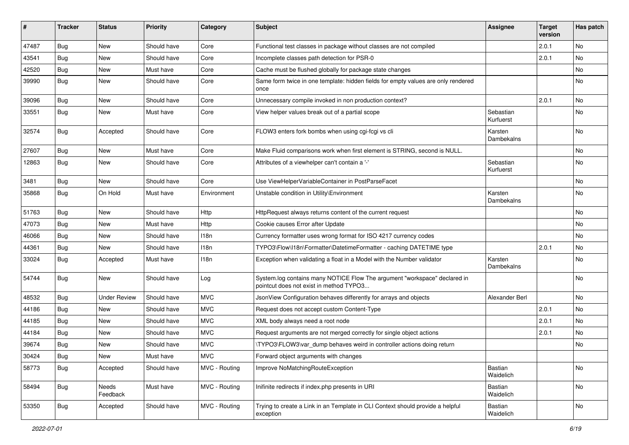| #     | <b>Tracker</b> | <b>Status</b>       | <b>Priority</b> | Category      | <b>Subject</b>                                                                                                       | <b>Assignee</b>        | <b>Target</b><br>version | Has patch |
|-------|----------------|---------------------|-----------------|---------------|----------------------------------------------------------------------------------------------------------------------|------------------------|--------------------------|-----------|
| 47487 | Bug            | New                 | Should have     | Core          | Functional test classes in package without classes are not compiled                                                  |                        | 2.0.1                    | <b>No</b> |
| 43541 | <b>Bug</b>     | <b>New</b>          | Should have     | Core          | Incomplete classes path detection for PSR-0                                                                          |                        | 2.0.1                    | <b>No</b> |
| 42520 | Bug            | New                 | Must have       | Core          | Cache must be flushed globally for package state changes                                                             |                        |                          | No        |
| 39990 | <b>Bug</b>     | <b>New</b>          | Should have     | Core          | Same form twice in one template: hidden fields for empty values are only rendered<br>once                            |                        |                          | <b>No</b> |
| 39096 | Bug            | New                 | Should have     | Core          | Unnecessary compile invoked in non production context?                                                               |                        | 2.0.1                    | <b>No</b> |
| 33551 | <b>Bug</b>     | <b>New</b>          | Must have       | Core          | View helper values break out of a partial scope                                                                      | Sebastian<br>Kurfuerst |                          | No        |
| 32574 | <b>Bug</b>     | Accepted            | Should have     | Core          | FLOW3 enters fork bombs when using cgi-fcgi vs cli                                                                   | Karsten<br>Dambekalns  |                          | <b>No</b> |
| 27607 | Bug            | <b>New</b>          | Must have       | Core          | Make Fluid comparisons work when first element is STRING, second is NULL.                                            |                        |                          | <b>No</b> |
| 12863 | <b>Bug</b>     | New                 | Should have     | Core          | Attributes of a viewhelper can't contain a '-'                                                                       | Sebastian<br>Kurfuerst |                          | No        |
| 3481  | Bug            | New                 | Should have     | Core          | Use ViewHelperVariableContainer in PostParseFacet                                                                    |                        |                          | No        |
| 35868 | <b>Bug</b>     | On Hold             | Must have       | Environment   | Unstable condition in Utility\Environment                                                                            | Karsten<br>Dambekalns  |                          | <b>No</b> |
| 51763 | Bug            | <b>New</b>          | Should have     | Http          | HttpRequest always returns content of the current request                                                            |                        |                          | <b>No</b> |
| 47073 | Bug            | New                 | Must have       | Http          | Cookie causes Error after Update                                                                                     |                        |                          | No        |
| 46066 | Bug            | <b>New</b>          | Should have     | 118n          | Currency formatter uses wrong format for ISO 4217 currency codes                                                     |                        |                          | No        |
| 44361 | Bug            | <b>New</b>          | Should have     | 118n          | TYPO3\Flow\I18n\Formatter\DatetimeFormatter - caching DATETIME type                                                  |                        | 2.0.1                    | No        |
| 33024 | <b>Bug</b>     | Accepted            | Must have       | 118n          | Exception when validating a float in a Model with the Number validator                                               | Karsten<br>Dambekalns  |                          | <b>No</b> |
| 54744 | Bug            | <b>New</b>          | Should have     | Log           | System.log contains many NOTICE Flow The argument "workspace" declared in<br>pointcut does not exist in method TYPO3 |                        |                          | <b>No</b> |
| 48532 | Bug            | <b>Under Review</b> | Should have     | <b>MVC</b>    | JsonView Configuration behaves differently for arrays and objects                                                    | Alexander Berl         |                          | <b>No</b> |
| 44186 | Bug            | New                 | Should have     | <b>MVC</b>    | Request does not accept custom Content-Type                                                                          |                        | 2.0.1                    | No        |
| 44185 | Bug            | New                 | Should have     | <b>MVC</b>    | XML body always need a root node                                                                                     |                        | 2.0.1                    | <b>No</b> |
| 44184 | Bug            | New                 | Should have     | <b>MVC</b>    | Request arguments are not merged correctly for single object actions                                                 |                        | 2.0.1                    | No        |
| 39674 | Bug            | New                 | Should have     | <b>MVC</b>    | \TYPO3\FLOW3\var_dump behaves weird in controller actions doing return                                               |                        |                          | No        |
| 30424 | <b>Bug</b>     | New                 | Must have       | <b>MVC</b>    | Forward object arguments with changes                                                                                |                        |                          |           |
| 58773 | <b>Bug</b>     | Accepted            | Should have     | MVC - Routing | Improve NoMatchingRouteException                                                                                     | Bastian<br>Waidelich   |                          | No        |
| 58494 | <b>Bug</b>     | Needs<br>Feedback   | Must have       | MVC - Routing | Inifinite redirects if index.php presents in URI                                                                     | Bastian<br>Waidelich   |                          | No        |
| 53350 | Bug            | Accepted            | Should have     | MVC - Routing | Trying to create a Link in an Template in CLI Context should provide a helpful<br>exception                          | Bastian<br>Waidelich   |                          | No        |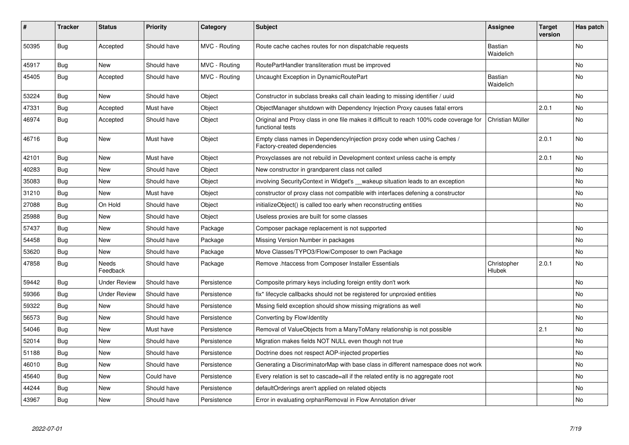| #     | <b>Tracker</b> | <b>Status</b>       | <b>Priority</b> | Category      | <b>Subject</b>                                                                                              | <b>Assignee</b>              | <b>Target</b><br>version | Has patch |
|-------|----------------|---------------------|-----------------|---------------|-------------------------------------------------------------------------------------------------------------|------------------------------|--------------------------|-----------|
| 50395 | Bug            | Accepted            | Should have     | MVC - Routing | Route cache caches routes for non dispatchable requests                                                     | Bastian<br>Waidelich         |                          | <b>No</b> |
| 45917 | Bug            | New                 | Should have     | MVC - Routing | RoutePartHandler transliteration must be improved                                                           |                              |                          | <b>No</b> |
| 45405 | Bug            | Accepted            | Should have     | MVC - Routing | Uncaught Exception in DynamicRoutePart                                                                      | Bastian<br>Waidelich         |                          | <b>No</b> |
| 53224 | <b>Bug</b>     | <b>New</b>          | Should have     | Object        | Constructor in subclass breaks call chain leading to missing identifier / uuid                              |                              |                          | <b>No</b> |
| 47331 | Bug            | Accepted            | Must have       | Object        | ObjectManager shutdown with Dependency Injection Proxy causes fatal errors                                  |                              | 2.0.1                    | No        |
| 46974 | Bug            | Accepted            | Should have     | Object        | Original and Proxy class in one file makes it difficult to reach 100% code coverage for<br>functional tests | Christian Müller             |                          | No        |
| 46716 | <b>Bug</b>     | <b>New</b>          | Must have       | Object        | Empty class names in Dependencylnjection proxy code when using Caches /<br>Factory-created dependencies     |                              | 2.0.1                    | <b>No</b> |
| 42101 | Bug            | <b>New</b>          | Must have       | Object        | Proxyclasses are not rebuild in Development context unless cache is empty                                   |                              | 2.0.1                    | No        |
| 40283 | Bug            | <b>New</b>          | Should have     | Object        | New constructor in grandparent class not called                                                             |                              |                          | <b>No</b> |
| 35083 | Bug            | New                 | Should have     | Object        | involving SecurityContext in Widget's __wakeup situation leads to an exception                              |                              |                          | No        |
| 31210 | Bug            | <b>New</b>          | Must have       | Object        | constructor of proxy class not compatible with interfaces defening a constructor                            |                              |                          | No        |
| 27088 | Bug            | On Hold             | Should have     | Object        | initializeObject() is called too early when reconstructing entities                                         |                              |                          | No        |
| 25988 | Bug            | New                 | Should have     | Object        | Useless proxies are built for some classes                                                                  |                              |                          |           |
| 57437 | Bug            | <b>New</b>          | Should have     | Package       | Composer package replacement is not supported                                                               |                              |                          | No        |
| 54458 | Bug            | <b>New</b>          | Should have     | Package       | Missing Version Number in packages                                                                          |                              |                          | No        |
| 53620 | Bug            | <b>New</b>          | Should have     | Package       | Move Classes/TYPO3/Flow/Composer to own Package                                                             |                              |                          | <b>No</b> |
| 47858 | <b>Bug</b>     | Needs<br>Feedback   | Should have     | Package       | Remove .htaccess from Composer Installer Essentials                                                         | Christopher<br><b>Hlubek</b> | 2.0.1                    | <b>No</b> |
| 59442 | Bug            | <b>Under Review</b> | Should have     | Persistence   | Composite primary keys including foreign entity don't work                                                  |                              |                          | No        |
| 59366 | Bug            | <b>Under Review</b> | Should have     | Persistence   | fix* lifecycle callbacks should not be registered for unproxied entities                                    |                              |                          | <b>No</b> |
| 59322 | Bug            | <b>New</b>          | Should have     | Persistence   | Mssing field exception should show missing migrations as well                                               |                              |                          | No        |
| 56573 | <b>Bug</b>     | New                 | Should have     | Persistence   | Converting by Flow\Identity                                                                                 |                              |                          | <b>No</b> |
| 54046 | <b>Bug</b>     | <b>New</b>          | Must have       | Persistence   | Removal of ValueObjects from a ManyToMany relationship is not possible                                      |                              | 2.1                      | <b>No</b> |
| 52014 | Bug            | New                 | Should have     | Persistence   | Migration makes fields NOT NULL even though not true                                                        |                              |                          | No        |
| 51188 | Bug            | <b>New</b>          | Should have     | Persistence   | Doctrine does not respect AOP-injected properties                                                           |                              |                          | No        |
| 46010 | Bug            | New                 | Should have     | Persistence   | Generating a DiscriminatorMap with base class in different namespace does not work                          |                              |                          | No        |
| 45640 | <b>Bug</b>     | New                 | Could have      | Persistence   | Every relation is set to cascade=all if the related entity is no aggregate root                             |                              |                          | <b>No</b> |
| 44244 | Bug            | New                 | Should have     | Persistence   | defaultOrderings aren't applied on related objects                                                          |                              |                          | No        |
| 43967 | Bug            | <b>New</b>          | Should have     | Persistence   | Error in evaluating orphanRemoval in Flow Annotation driver                                                 |                              |                          | No        |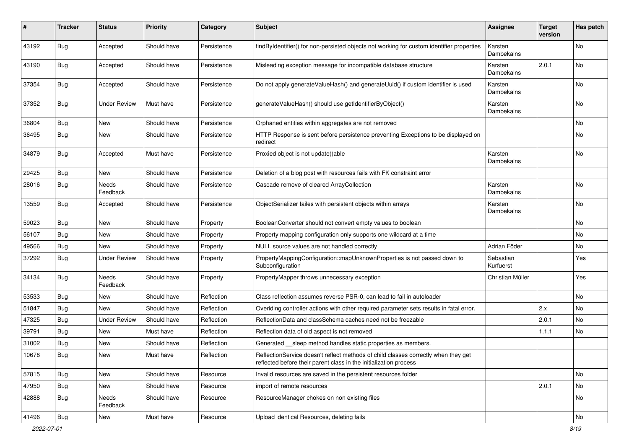| #     | <b>Tracker</b> | <b>Status</b>            | <b>Priority</b> | Category    | <b>Subject</b>                                                                                                                                          | <b>Assignee</b>        | <b>Target</b><br>version | Has patch |
|-------|----------------|--------------------------|-----------------|-------------|---------------------------------------------------------------------------------------------------------------------------------------------------------|------------------------|--------------------------|-----------|
| 43192 | <b>Bug</b>     | Accepted                 | Should have     | Persistence | findByIdentifier() for non-persisted objects not working for custom identifier properties                                                               | Karsten<br>Dambekalns  |                          | No        |
| 43190 | Bug            | Accepted                 | Should have     | Persistence | Misleading exception message for incompatible database structure                                                                                        | Karsten<br>Dambekalns  | 2.0.1                    | No        |
| 37354 | <b>Bug</b>     | Accepted                 | Should have     | Persistence | Do not apply generate Value Hash() and generate Uuid() if custom identifier is used                                                                     | Karsten<br>Dambekalns  |                          | No        |
| 37352 | Bug            | <b>Under Review</b>      | Must have       | Persistence | generateValueHash() should use getIdentifierByObject()                                                                                                  | Karsten<br>Dambekalns  |                          | No        |
| 36804 | Bug            | <b>New</b>               | Should have     | Persistence | Orphaned entities within aggregates are not removed                                                                                                     |                        |                          | <b>No</b> |
| 36495 | <b>Bug</b>     | <b>New</b>               | Should have     | Persistence | HTTP Response is sent before persistence preventing Exceptions to be displayed on<br>redirect                                                           |                        |                          | No        |
| 34879 | Bug            | Accepted                 | Must have       | Persistence | Proxied object is not update()able                                                                                                                      | Karsten<br>Dambekalns  |                          | No        |
| 29425 | Bug            | <b>New</b>               | Should have     | Persistence | Deletion of a blog post with resources fails with FK constraint error                                                                                   |                        |                          |           |
| 28016 | Bug            | <b>Needs</b><br>Feedback | Should have     | Persistence | Cascade remove of cleared ArrayCollection                                                                                                               | Karsten<br>Dambekalns  |                          | No        |
| 13559 | <b>Bug</b>     | Accepted                 | Should have     | Persistence | ObjectSerializer failes with persistent objects within arrays                                                                                           | Karsten<br>Dambekalns  |                          | <b>No</b> |
| 59023 | Bug            | <b>New</b>               | Should have     | Property    | BooleanConverter should not convert empty values to boolean                                                                                             |                        |                          | No        |
| 56107 | Bug            | <b>New</b>               | Should have     | Property    | Property mapping configuration only supports one wildcard at a time                                                                                     |                        |                          | No.       |
| 49566 | Bug            | New                      | Should have     | Property    | NULL source values are not handled correctly                                                                                                            | Adrian Föder           |                          | No        |
| 37292 | Bug            | <b>Under Review</b>      | Should have     | Property    | PropertyMappingConfiguration::mapUnknownProperties is not passed down to<br>Subconfiguration                                                            | Sebastian<br>Kurfuerst |                          | Yes       |
| 34134 | <b>Bug</b>     | Needs<br>Feedback        | Should have     | Property    | PropertyMapper throws unnecessary exception                                                                                                             | Christian Müller       |                          | Yes       |
| 53533 | Bug            | <b>New</b>               | Should have     | Reflection  | Class reflection assumes reverse PSR-0, can lead to fail in autoloader                                                                                  |                        |                          | <b>No</b> |
| 51847 | Bug            | New                      | Should have     | Reflection  | Overiding controller actions with other required parameter sets results in fatal error.                                                                 |                        | 2.x                      | No        |
| 47325 | <b>Bug</b>     | <b>Under Review</b>      | Should have     | Reflection  | ReflectionData and classSchema caches need not be freezable                                                                                             |                        | 2.0.1                    | No        |
| 39791 | Bug            | <b>New</b>               | Must have       | Reflection  | Reflection data of old aspect is not removed                                                                                                            |                        | 1.1.1                    | No        |
| 31002 | Bug            | New                      | Should have     | Reflection  | Generated __sleep method handles static properties as members.                                                                                          |                        |                          |           |
| 10678 | <b>Bug</b>     | New                      | Must have       | Reflection  | ReflectionService doesn't reflect methods of child classes correctly when they get<br>reflected before their parent class in the initialization process |                        |                          |           |
| 57815 | <b>Bug</b>     | New                      | Should have     | Resource    | Invalid resources are saved in the persistent resources folder                                                                                          |                        |                          | No        |
| 47950 | <b>Bug</b>     | New                      | Should have     | Resource    | import of remote resources                                                                                                                              |                        | 2.0.1                    | No        |
| 42888 | <b>Bug</b>     | Needs<br>Feedback        | Should have     | Resource    | ResourceManager chokes on non existing files                                                                                                            |                        |                          | No        |
| 41496 | <b>Bug</b>     | New                      | Must have       | Resource    | Upload identical Resources, deleting fails                                                                                                              |                        |                          | No        |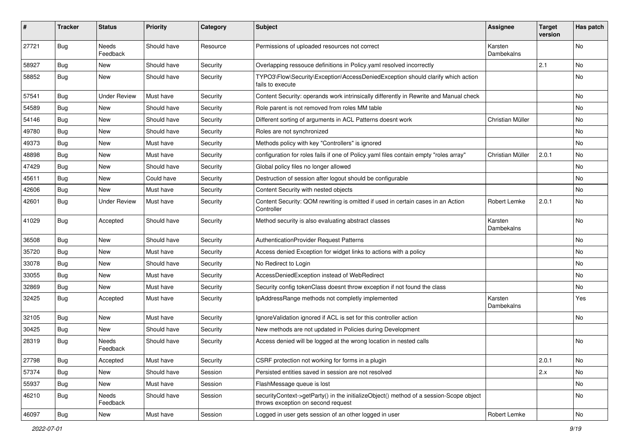| ∦     | <b>Tracker</b> | <b>Status</b>       | <b>Priority</b> | Category | <b>Subject</b>                                                                                                               | <b>Assignee</b>       | <b>Target</b><br>version | Has patch |
|-------|----------------|---------------------|-----------------|----------|------------------------------------------------------------------------------------------------------------------------------|-----------------------|--------------------------|-----------|
| 27721 | Bug            | Needs<br>Feedback   | Should have     | Resource | Permissions of uploaded resources not correct                                                                                | Karsten<br>Dambekalns |                          | No        |
| 58927 | <b>Bug</b>     | New                 | Should have     | Security | Overlapping ressouce definitions in Policy yaml resolved incorrectly                                                         |                       | 2.1                      | <b>No</b> |
| 58852 | Bug            | New                 | Should have     | Security | TYPO3\Flow\Security\Exception\AccessDeniedException should clarify which action<br>fails to execute                          |                       |                          | No        |
| 57541 | Bug            | <b>Under Review</b> | Must have       | Security | Content Security: operands work intrinsically differently in Rewrite and Manual check                                        |                       |                          | No        |
| 54589 | <b>Bug</b>     | <b>New</b>          | Should have     | Security | Role parent is not removed from roles MM table                                                                               |                       |                          | <b>No</b> |
| 54146 | <b>Bug</b>     | New                 | Should have     | Security | Different sorting of arguments in ACL Patterns doesnt work                                                                   | Christian Müller      |                          | No        |
| 49780 | <b>Bug</b>     | <b>New</b>          | Should have     | Security | Roles are not synchronized                                                                                                   |                       |                          | <b>No</b> |
| 49373 | <b>Bug</b>     | New                 | Must have       | Security | Methods policy with key "Controllers" is ignored                                                                             |                       |                          | No        |
| 48898 | <b>Bug</b>     | New                 | Must have       | Security | configuration for roles fails if one of Policy yaml files contain empty "roles array"                                        | Christian Müller      | 2.0.1                    | No        |
| 47429 | Bug            | New                 | Should have     | Security | Global policy files no longer allowed                                                                                        |                       |                          | No        |
| 45611 | <b>Bug</b>     | New                 | Could have      | Security | Destruction of session after logout should be configurable                                                                   |                       |                          | No        |
| 42606 | <b>Bug</b>     | New                 | Must have       | Security | Content Security with nested objects                                                                                         |                       |                          | <b>No</b> |
| 42601 | <b>Bug</b>     | <b>Under Review</b> | Must have       | Security | Content Security: QOM rewriting is omitted if used in certain cases in an Action<br>Controller                               | Robert Lemke          | 2.0.1                    | No        |
| 41029 | Bug            | Accepted            | Should have     | Security | Method security is also evaluating abstract classes                                                                          | Karsten<br>Dambekalns |                          | No        |
| 36508 | Bug            | <b>New</b>          | Should have     | Security | AuthenticationProvider Request Patterns                                                                                      |                       |                          | No        |
| 35720 | Bug            | New                 | Must have       | Security | Access denied Exception for widget links to actions with a policy                                                            |                       |                          | <b>No</b> |
| 33078 | <b>Bug</b>     | New                 | Should have     | Security | No Redirect to Login                                                                                                         |                       |                          | No        |
| 33055 | <b>Bug</b>     | New                 | Must have       | Security | AccessDeniedException instead of WebRedirect                                                                                 |                       |                          | <b>No</b> |
| 32869 | <b>Bug</b>     | New                 | Must have       | Security | Security config tokenClass doesnt throw exception if not found the class                                                     |                       |                          | No        |
| 32425 | <b>Bug</b>     | Accepted            | Must have       | Security | IpAddressRange methods not completly implemented                                                                             | Karsten<br>Dambekalns |                          | Yes       |
| 32105 | <b>Bug</b>     | New                 | Must have       | Security | Ignore Validation ignored if ACL is set for this controller action                                                           |                       |                          | <b>No</b> |
| 30425 | Bug            | New                 | Should have     | Security | New methods are not updated in Policies during Development                                                                   |                       |                          |           |
| 28319 | Bug            | Needs<br>Feedback   | Should have     | Security | Access denied will be logged at the wrong location in nested calls                                                           |                       |                          | No        |
| 27798 | <b>Bug</b>     | Accepted            | Must have       | Security | CSRF protection not working for forms in a plugin                                                                            |                       | 2.0.1                    | No        |
| 57374 | <b>Bug</b>     | New                 | Should have     | Session  | Persisted entities saved in session are not resolved                                                                         |                       | 2.x                      | No        |
| 55937 | Bug            | New                 | Must have       | Session  | FlashMessage queue is lost                                                                                                   |                       |                          | No        |
| 46210 | <b>Bug</b>     | Needs<br>Feedback   | Should have     | Session  | securityContext->getParty() in the initializeObject() method of a session-Scope object<br>throws exception on second request |                       |                          | No        |
| 46097 | <b>Bug</b>     | New                 | Must have       | Session  | Logged in user gets session of an other logged in user                                                                       | Robert Lemke          |                          | No        |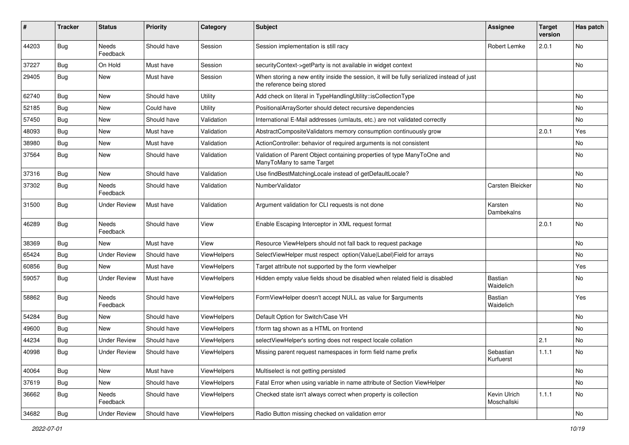| #     | <b>Tracker</b> | <b>Status</b>            | <b>Priority</b> | Category    | <b>Subject</b>                                                                                                          | <b>Assignee</b>             | <b>Target</b><br>version | Has patch |
|-------|----------------|--------------------------|-----------------|-------------|-------------------------------------------------------------------------------------------------------------------------|-----------------------------|--------------------------|-----------|
| 44203 | <b>Bug</b>     | Needs<br>Feedback        | Should have     | Session     | Session implementation is still racy                                                                                    | Robert Lemke                | 2.0.1                    | <b>No</b> |
| 37227 | <b>Bug</b>     | On Hold                  | Must have       | Session     | securityContext->getParty is not available in widget context                                                            |                             |                          | No        |
| 29405 | <b>Bug</b>     | New                      | Must have       | Session     | When storing a new entity inside the session, it will be fully serialized instead of just<br>the reference being stored |                             |                          |           |
| 62740 | <b>Bug</b>     | <b>New</b>               | Should have     | Utility     | Add check on literal in TypeHandlingUtility::isCollectionType                                                           |                             |                          | <b>No</b> |
| 52185 | <b>Bug</b>     | New                      | Could have      | Utility     | PositionalArraySorter should detect recursive dependencies                                                              |                             |                          | No        |
| 57450 | <b>Bug</b>     | New                      | Should have     | Validation  | International E-Mail addresses (umlauts, etc.) are not validated correctly                                              |                             |                          | No        |
| 48093 | Bug            | <b>New</b>               | Must have       | Validation  | AbstractCompositeValidators memory consumption continuously grow                                                        |                             | 2.0.1                    | Yes       |
| 38980 | <b>Bug</b>     | New                      | Must have       | Validation  | ActionController: behavior of required arguments is not consistent                                                      |                             |                          | No        |
| 37564 | <b>Bug</b>     | New                      | Should have     | Validation  | Validation of Parent Object containing properties of type ManyToOne and<br>ManyToMany to same Target                    |                             |                          | No        |
| 37316 | <b>Bug</b>     | New                      | Should have     | Validation  | Use findBestMatchingLocale instead of getDefaultLocale?                                                                 |                             |                          | No        |
| 37302 | <b>Bug</b>     | <b>Needs</b><br>Feedback | Should have     | Validation  | NumberValidator                                                                                                         | Carsten Bleicker            |                          | No        |
| 31500 | <b>Bug</b>     | <b>Under Review</b>      | Must have       | Validation  | Argument validation for CLI requests is not done                                                                        | Karsten<br>Dambekalns       |                          | <b>No</b> |
| 46289 | Bug            | Needs<br>Feedback        | Should have     | View        | Enable Escaping Interceptor in XML request format                                                                       |                             | 2.0.1                    | <b>No</b> |
| 38369 | <b>Bug</b>     | New                      | Must have       | View        | Resource ViewHelpers should not fall back to request package                                                            |                             |                          | No        |
| 65424 | <b>Bug</b>     | <b>Under Review</b>      | Should have     | ViewHelpers | SelectViewHelper must respect option(Value Label)Field for arrays                                                       |                             |                          | No        |
| 60856 | <b>Bug</b>     | New                      | Must have       | ViewHelpers | Target attribute not supported by the form viewhelper                                                                   |                             |                          | Yes       |
| 59057 | Bug            | <b>Under Review</b>      | Must have       | ViewHelpers | Hidden empty value fields shoud be disabled when related field is disabled                                              | Bastian<br>Waidelich        |                          | No        |
| 58862 | <b>Bug</b>     | <b>Needs</b><br>Feedback | Should have     | ViewHelpers | FormViewHelper doesn't accept NULL as value for \$arguments                                                             | Bastian<br>Waidelich        |                          | Yes       |
| 54284 | <b>Bug</b>     | New                      | Should have     | ViewHelpers | Default Option for Switch/Case VH                                                                                       |                             |                          | No        |
| 49600 | <b>Bug</b>     | <b>New</b>               | Should have     | ViewHelpers | f:form tag shown as a HTML on frontend                                                                                  |                             |                          | No        |
| 44234 | <b>Bug</b>     | <b>Under Review</b>      | Should have     | ViewHelpers | selectViewHelper's sorting does not respect locale collation                                                            |                             | 2.1                      | No        |
| 40998 | <b>Bug</b>     | <b>Under Review</b>      | Should have     | ViewHelpers | Missing parent request namespaces in form field name prefix                                                             | Sebastian<br>Kurfuerst      | 1.1.1                    | No        |
| 40064 | <b>Bug</b>     | New                      | Must have       | ViewHelpers | Multiselect is not getting persisted                                                                                    |                             |                          | No        |
| 37619 | <b>Bug</b>     | New                      | Should have     | ViewHelpers | Fatal Error when using variable in name attribute of Section ViewHelper                                                 |                             |                          | No        |
| 36662 | <b>Bug</b>     | Needs<br>Feedback        | Should have     | ViewHelpers | Checked state isn't always correct when property is collection                                                          | Kevin Ulrich<br>Moschallski | 1.1.1                    | No        |
| 34682 | <b>Bug</b>     | <b>Under Review</b>      | Should have     | ViewHelpers | Radio Button missing checked on validation error                                                                        |                             |                          | No        |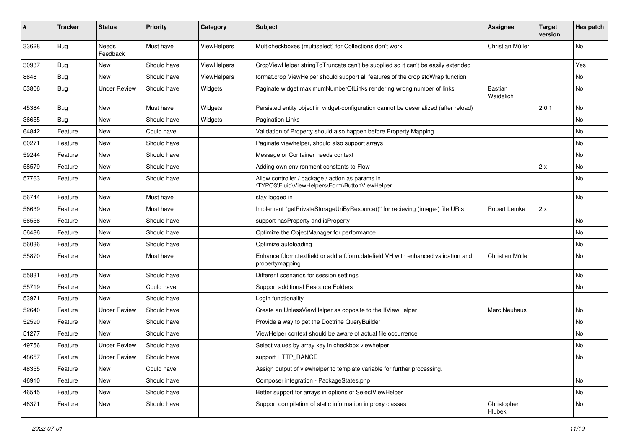| ∦     | <b>Tracker</b> | <b>Status</b>       | <b>Priority</b> | Category    | <b>Subject</b>                                                                                        | Assignee              | <b>Target</b><br>version | Has patch |
|-------|----------------|---------------------|-----------------|-------------|-------------------------------------------------------------------------------------------------------|-----------------------|--------------------------|-----------|
| 33628 | Bug            | Needs<br>Feedback   | Must have       | ViewHelpers | Multicheckboxes (multiselect) for Collections don't work                                              | Christian Müller      |                          | <b>No</b> |
| 30937 | <b>Bug</b>     | New                 | Should have     | ViewHelpers | CropViewHelper stringToTruncate can't be supplied so it can't be easily extended                      |                       |                          | Yes       |
| 8648  | Bug            | New                 | Should have     | ViewHelpers | format.crop ViewHelper should support all features of the crop stdWrap function                       |                       |                          | No        |
| 53806 | Bug            | <b>Under Review</b> | Should have     | Widgets     | Paginate widget maximumNumberOfLinks rendering wrong number of links                                  | Bastian<br>Waidelich  |                          | <b>No</b> |
| 45384 | <b>Bug</b>     | <b>New</b>          | Must have       | Widgets     | Persisted entity object in widget-configuration cannot be deserialized (after reload)                 |                       | 2.0.1                    | <b>No</b> |
| 36655 | <b>Bug</b>     | New                 | Should have     | Widgets     | <b>Pagination Links</b>                                                                               |                       |                          | No        |
| 64842 | Feature        | New                 | Could have      |             | Validation of Property should also happen before Property Mapping.                                    |                       |                          | <b>No</b> |
| 60271 | Feature        | New                 | Should have     |             | Paginate viewhelper, should also support arrays                                                       |                       |                          | No        |
| 59244 | Feature        | New                 | Should have     |             | Message or Container needs context                                                                    |                       |                          | No        |
| 58579 | Feature        | New                 | Should have     |             | Adding own environment constants to Flow                                                              |                       | 2.x                      | No        |
| 57763 | Feature        | New                 | Should have     |             | Allow controller / package / action as params in<br>\TYPO3\Fluid\ViewHelpers\Form\ButtonViewHelper    |                       |                          | <b>No</b> |
| 56744 | Feature        | New                 | Must have       |             | stay logged in                                                                                        |                       |                          | No        |
| 56639 | Feature        | New                 | Must have       |             | Implement "getPrivateStorageUriByResource()" for recieving (image-) file URIs                         | Robert Lemke          | 2.x                      |           |
| 56556 | Feature        | New                 | Should have     |             | support hasProperty and isProperty                                                                    |                       |                          | No        |
| 56486 | Feature        | New                 | Should have     |             | Optimize the ObjectManager for performance                                                            |                       |                          | <b>No</b> |
| 56036 | Feature        | New                 | Should have     |             | Optimize autoloading                                                                                  |                       |                          | No        |
| 55870 | Feature        | New                 | Must have       |             | Enhance f:form.textfield or add a f:form.datefield VH with enhanced validation and<br>propertymapping | Christian Müller      |                          | <b>No</b> |
| 55831 | Feature        | <b>New</b>          | Should have     |             | Different scenarios for session settings                                                              |                       |                          | <b>No</b> |
| 55719 | Feature        | New                 | Could have      |             | Support additional Resource Folders                                                                   |                       |                          | No        |
| 53971 | Feature        | New                 | Should have     |             | Login functionality                                                                                   |                       |                          |           |
| 52640 | Feature        | <b>Under Review</b> | Should have     |             | Create an UnlessViewHelper as opposite to the IfViewHelper                                            | <b>Marc Neuhaus</b>   |                          | No        |
| 52590 | Feature        | <b>New</b>          | Should have     |             | Provide a way to get the Doctrine QueryBuilder                                                        |                       |                          | <b>No</b> |
| 51277 | Feature        | New                 | Should have     |             | ViewHelper context should be aware of actual file occurrence                                          |                       |                          | No        |
| 49756 | Feature        | <b>Under Review</b> | Should have     |             | Select values by array key in checkbox viewhelper                                                     |                       |                          | No        |
| 48657 | Feature        | <b>Under Review</b> | Should have     |             | support HTTP_RANGE                                                                                    |                       |                          | No.       |
| 48355 | Feature        | New                 | Could have      |             | Assign output of viewhelper to template variable for further processing.                              |                       |                          |           |
| 46910 | Feature        | New                 | Should have     |             | Composer integration - PackageStates.php                                                              |                       |                          | No        |
| 46545 | Feature        | New                 | Should have     |             | Better support for arrays in options of SelectViewHelper                                              |                       |                          | No        |
| 46371 | Feature        | New                 | Should have     |             | Support compilation of static information in proxy classes                                            | Christopher<br>Hlubek |                          | No        |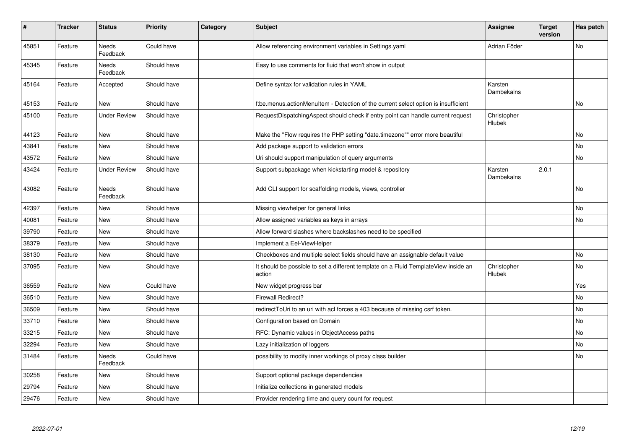| $\vert$ # | <b>Tracker</b> | <b>Status</b>            | Priority    | Category | <b>Subject</b>                                                                                | <b>Assignee</b>       | <b>Target</b><br>version | Has patch |
|-----------|----------------|--------------------------|-------------|----------|-----------------------------------------------------------------------------------------------|-----------------------|--------------------------|-----------|
| 45851     | Feature        | <b>Needs</b><br>Feedback | Could have  |          | Allow referencing environment variables in Settings.yaml                                      | Adrian Föder          |                          | <b>No</b> |
| 45345     | Feature        | <b>Needs</b><br>Feedback | Should have |          | Easy to use comments for fluid that won't show in output                                      |                       |                          |           |
| 45164     | Feature        | Accepted                 | Should have |          | Define syntax for validation rules in YAML                                                    | Karsten<br>Dambekalns |                          |           |
| 45153     | Feature        | <b>New</b>               | Should have |          | f:be.menus.actionMenuItem - Detection of the current select option is insufficient            |                       |                          | <b>No</b> |
| 45100     | Feature        | <b>Under Review</b>      | Should have |          | RequestDispatchingAspect should check if entry point can handle current request               | Christopher<br>Hlubek |                          |           |
| 44123     | Feature        | <b>New</b>               | Should have |          | Make the "Flow requires the PHP setting "date.timezone"" error more beautiful                 |                       |                          | <b>No</b> |
| 43841     | Feature        | <b>New</b>               | Should have |          | Add package support to validation errors                                                      |                       |                          | <b>No</b> |
| 43572     | Feature        | <b>New</b>               | Should have |          | Uri should support manipulation of query arguments                                            |                       |                          | <b>No</b> |
| 43424     | Feature        | <b>Under Review</b>      | Should have |          | Support subpackage when kickstarting model & repository                                       | Karsten<br>Dambekalns | 2.0.1                    |           |
| 43082     | Feature        | Needs<br>Feedback        | Should have |          | Add CLI support for scaffolding models, views, controller                                     |                       |                          | <b>No</b> |
| 42397     | Feature        | <b>New</b>               | Should have |          | Missing viewhelper for general links                                                          |                       |                          | No        |
| 40081     | Feature        | <b>New</b>               | Should have |          | Allow assigned variables as keys in arrays                                                    |                       |                          | <b>No</b> |
| 39790     | Feature        | New                      | Should have |          | Allow forward slashes where backslashes need to be specified                                  |                       |                          |           |
| 38379     | Feature        | New                      | Should have |          | Implement a Eel-ViewHelper                                                                    |                       |                          |           |
| 38130     | Feature        | <b>New</b>               | Should have |          | Checkboxes and multiple select fields should have an assignable default value                 |                       |                          | No        |
| 37095     | Feature        | <b>New</b>               | Should have |          | It should be possible to set a different template on a Fluid TemplateView inside an<br>action | Christopher<br>Hlubek |                          | No        |
| 36559     | Feature        | <b>New</b>               | Could have  |          | New widget progress bar                                                                       |                       |                          | Yes       |
| 36510     | Feature        | New                      | Should have |          | <b>Firewall Redirect?</b>                                                                     |                       |                          | No        |
| 36509     | Feature        | <b>New</b>               | Should have |          | redirectToUri to an uri with acl forces a 403 because of missing csrf token.                  |                       |                          | No        |
| 33710     | Feature        | <b>New</b>               | Should have |          | Configuration based on Domain                                                                 |                       |                          | <b>No</b> |
| 33215     | Feature        | <b>New</b>               | Should have |          | RFC: Dynamic values in ObjectAccess paths                                                     |                       |                          | <b>No</b> |
| 32294     | Feature        | <b>New</b>               | Should have |          | Lazy initialization of loggers                                                                |                       |                          | <b>No</b> |
| 31484     | Feature        | Needs<br>Feedback        | Could have  |          | possibility to modify inner workings of proxy class builder                                   |                       |                          | No        |
| 30258     | Feature        | <b>New</b>               | Should have |          | Support optional package dependencies                                                         |                       |                          |           |
| 29794     | Feature        | New                      | Should have |          | Initialize collections in generated models                                                    |                       |                          |           |
| 29476     | Feature        | <b>New</b>               | Should have |          | Provider rendering time and query count for request                                           |                       |                          |           |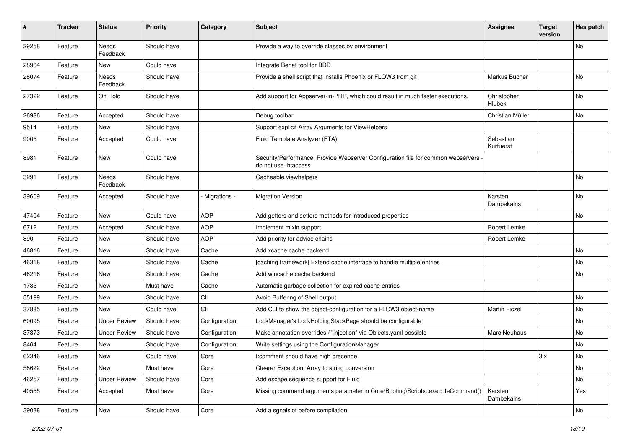| $\pmb{\#}$ | <b>Tracker</b> | <b>Status</b>            | <b>Priority</b> | Category      | <b>Subject</b>                                                                                             | <b>Assignee</b>        | <b>Target</b><br>version | Has patch |
|------------|----------------|--------------------------|-----------------|---------------|------------------------------------------------------------------------------------------------------------|------------------------|--------------------------|-----------|
| 29258      | Feature        | Needs<br>Feedback        | Should have     |               | Provide a way to override classes by environment                                                           |                        |                          | No        |
| 28964      | Feature        | New                      | Could have      |               | Integrate Behat tool for BDD                                                                               |                        |                          |           |
| 28074      | Feature        | Needs<br>Feedback        | Should have     |               | Provide a shell script that installs Phoenix or FLOW3 from git                                             | Markus Bucher          |                          | No        |
| 27322      | Feature        | On Hold                  | Should have     |               | Add support for Appserver-in-PHP, which could result in much faster executions.                            | Christopher<br>Hlubek  |                          | No        |
| 26986      | Feature        | Accepted                 | Should have     |               | Debug toolbar                                                                                              | Christian Müller       |                          | <b>No</b> |
| 9514       | Feature        | New                      | Should have     |               | Support explicit Array Arguments for ViewHelpers                                                           |                        |                          |           |
| 9005       | Feature        | Accepted                 | Could have      |               | Fluid Template Analyzer (FTA)                                                                              | Sebastian<br>Kurfuerst |                          |           |
| 8981       | Feature        | <b>New</b>               | Could have      |               | Security/Performance: Provide Webserver Configuration file for common webservers ·<br>do not use .htaccess |                        |                          |           |
| 3291       | Feature        | <b>Needs</b><br>Feedback | Should have     |               | Cacheable viewhelpers                                                                                      |                        |                          | <b>No</b> |
| 39609      | Feature        | Accepted                 | Should have     | Migrations -  | <b>Migration Version</b>                                                                                   | Karsten<br>Dambekalns  |                          | No        |
| 47404      | Feature        | New                      | Could have      | AOP           | Add getters and setters methods for introduced properties                                                  |                        |                          | No        |
| 6712       | Feature        | Accepted                 | Should have     | <b>AOP</b>    | Implement mixin support                                                                                    | Robert Lemke           |                          |           |
| 890        | Feature        | <b>New</b>               | Should have     | <b>AOP</b>    | Add priority for advice chains                                                                             | Robert Lemke           |                          |           |
| 46816      | Feature        | New                      | Should have     | Cache         | Add xcache cache backend                                                                                   |                        |                          | No        |
| 46318      | Feature        | <b>New</b>               | Should have     | Cache         | [caching framework] Extend cache interface to handle multiple entries                                      |                        |                          | No        |
| 46216      | Feature        | New                      | Should have     | Cache         | Add wincache cache backend                                                                                 |                        |                          | No        |
| 1785       | Feature        | New                      | Must have       | Cache         | Automatic garbage collection for expired cache entries                                                     |                        |                          |           |
| 55199      | Feature        | New                      | Should have     | Cli           | Avoid Buffering of Shell output                                                                            |                        |                          | No        |
| 37885      | Feature        | New                      | Could have      | Cli           | Add CLI to show the object-configuration for a FLOW3 object-name                                           | <b>Martin Ficzel</b>   |                          | No        |
| 60095      | Feature        | <b>Under Review</b>      | Should have     | Configuration | LockManager's LockHoldingStackPage should be configurable                                                  |                        |                          | No        |
| 37373      | Feature        | <b>Under Review</b>      | Should have     | Configuration | Make annotation overrides / "injection" via Objects.yaml possible                                          | Marc Neuhaus           |                          | No        |
| 8464       | Feature        | New                      | Should have     | Configuration | Write settings using the ConfigurationManager                                                              |                        |                          | No        |
| 62346      | Feature        | New                      | Could have      | Core          | f:comment should have high precende                                                                        |                        | 3.x                      | No        |
| 58622      | Feature        | New                      | Must have       | Core          | Clearer Exception: Array to string conversion                                                              |                        |                          | No        |
| 46257      | Feature        | <b>Under Review</b>      | Should have     | Core          | Add escape sequence support for Fluid                                                                      |                        |                          | No        |
| 40555      | Feature        | Accepted                 | Must have       | Core          | Missing command arguments parameter in Core\Booting\Scripts::executeCommand()                              | Karsten<br>Dambekalns  |                          | Yes       |
| 39088      | Feature        | New                      | Should have     | Core          | Add a sgnalslot before compilation                                                                         |                        |                          | No        |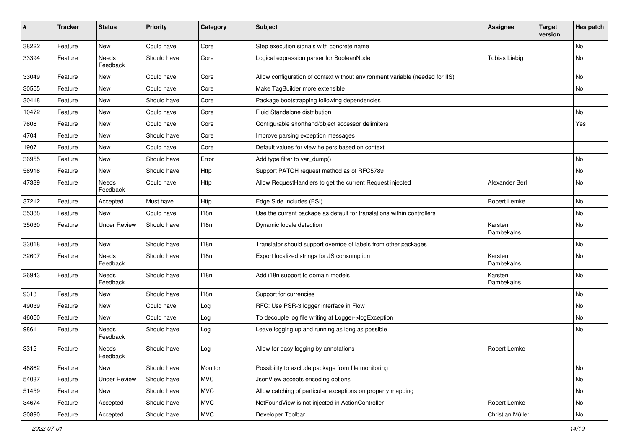| #     | <b>Tracker</b> | <b>Status</b>            | <b>Priority</b> | Category   | <b>Subject</b>                                                               | <b>Assignee</b>       | <b>Target</b><br>version | Has patch |
|-------|----------------|--------------------------|-----------------|------------|------------------------------------------------------------------------------|-----------------------|--------------------------|-----------|
| 38222 | Feature        | <b>New</b>               | Could have      | Core       | Step execution signals with concrete name                                    |                       |                          | No        |
| 33394 | Feature        | Needs<br>Feedback        | Should have     | Core       | Logical expression parser for BooleanNode                                    | <b>Tobias Liebig</b>  |                          | No        |
| 33049 | Feature        | <b>New</b>               | Could have      | Core       | Allow configuration of context without environment variable (needed for IIS) |                       |                          | No        |
| 30555 | Feature        | New                      | Could have      | Core       | Make TagBuilder more extensible                                              |                       |                          | No        |
| 30418 | Feature        | New                      | Should have     | Core       | Package bootstrapping following dependencies                                 |                       |                          |           |
| 10472 | Feature        | New                      | Could have      | Core       | Fluid Standalone distribution                                                |                       |                          | No        |
| 7608  | Feature        | New                      | Could have      | Core       | Configurable shorthand/object accessor delimiters                            |                       |                          | Yes       |
| 4704  | Feature        | New                      | Should have     | Core       | Improve parsing exception messages                                           |                       |                          |           |
| 1907  | Feature        | New                      | Could have      | Core       | Default values for view helpers based on context                             |                       |                          |           |
| 36955 | Feature        | New                      | Should have     | Error      | Add type filter to var_dump()                                                |                       |                          | No        |
| 56916 | Feature        | New                      | Should have     | Http       | Support PATCH request method as of RFC5789                                   |                       |                          | No        |
| 47339 | Feature        | Needs<br>Feedback        | Could have      | Http       | Allow RequestHandlers to get the current Request injected                    | Alexander Berl        |                          | No        |
| 37212 | Feature        | Accepted                 | Must have       | Http       | Edge Side Includes (ESI)                                                     | Robert Lemke          |                          | No        |
| 35388 | Feature        | New                      | Could have      | 118n       | Use the current package as default for translations within controllers       |                       |                          | No        |
| 35030 | Feature        | <b>Under Review</b>      | Should have     | 118n       | Dynamic locale detection                                                     | Karsten<br>Dambekalns |                          | No        |
| 33018 | Feature        | New                      | Should have     | 118n       | Translator should support override of labels from other packages             |                       |                          | No        |
| 32607 | Feature        | Needs<br>Feedback        | Should have     | 118n       | Export localized strings for JS consumption                                  | Karsten<br>Dambekalns |                          | No        |
| 26943 | Feature        | <b>Needs</b><br>Feedback | Should have     | 118n       | Add i18n support to domain models                                            | Karsten<br>Dambekalns |                          | No        |
| 9313  | Feature        | <b>New</b>               | Should have     | 118n       | Support for currencies                                                       |                       |                          | No        |
| 49039 | Feature        | New                      | Could have      | Log        | RFC: Use PSR-3 logger interface in Flow                                      |                       |                          | No        |
| 46050 | Feature        | New                      | Could have      | Log        | To decouple log file writing at Logger->logException                         |                       |                          | No        |
| 9861  | Feature        | Needs<br>Feedback        | Should have     | Log        | Leave logging up and running as long as possible                             |                       |                          | No        |
| 3312  | Feature        | Needs<br>Feedback        | Should have     | Log        | Allow for easy logging by annotations                                        | Robert Lemke          |                          |           |
| 48862 | Feature        | New                      | Should have     | Monitor    | Possibility to exclude package from file monitoring                          |                       |                          | No        |
| 54037 | Feature        | <b>Under Review</b>      | Should have     | <b>MVC</b> | JsonView accepts encoding options                                            |                       |                          | No        |
| 51459 | Feature        | New                      | Should have     | <b>MVC</b> | Allow catching of particular exceptions on property mapping                  |                       |                          | No        |
| 34674 | Feature        | Accepted                 | Should have     | <b>MVC</b> | NotFoundView is not injected in ActionController                             | Robert Lemke          |                          | No        |
| 30890 | Feature        | Accepted                 | Should have     | <b>MVC</b> | Developer Toolbar                                                            | Christian Müller      |                          | No        |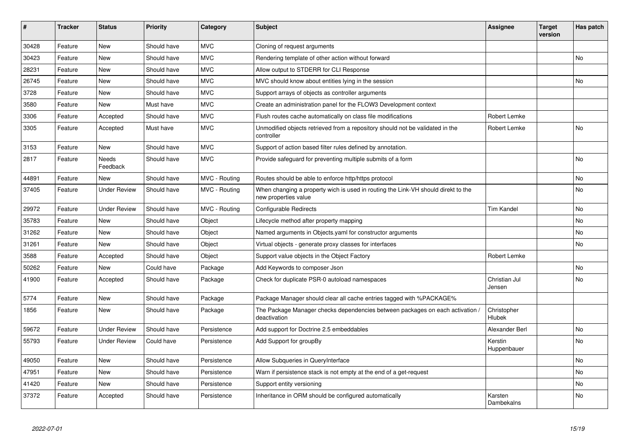| ∦     | <b>Tracker</b> | <b>Status</b>       | <b>Priority</b> | Category      | <b>Subject</b>                                                                                            | <b>Assignee</b>              | <b>Target</b><br>version | Has patch |
|-------|----------------|---------------------|-----------------|---------------|-----------------------------------------------------------------------------------------------------------|------------------------------|--------------------------|-----------|
| 30428 | Feature        | <b>New</b>          | Should have     | <b>MVC</b>    | Cloning of request arguments                                                                              |                              |                          |           |
| 30423 | Feature        | New                 | Should have     | <b>MVC</b>    | Rendering template of other action without forward                                                        |                              |                          | No        |
| 28231 | Feature        | <b>New</b>          | Should have     | <b>MVC</b>    | Allow output to STDERR for CLI Response                                                                   |                              |                          |           |
| 26745 | Feature        | New                 | Should have     | <b>MVC</b>    | MVC should know about entities lying in the session                                                       |                              |                          | No        |
| 3728  | Feature        | New                 | Should have     | <b>MVC</b>    | Support arrays of objects as controller arguments                                                         |                              |                          |           |
| 3580  | Feature        | New                 | Must have       | <b>MVC</b>    | Create an administration panel for the FLOW3 Development context                                          |                              |                          |           |
| 3306  | Feature        | Accepted            | Should have     | <b>MVC</b>    | Flush routes cache automatically on class file modifications                                              | Robert Lemke                 |                          |           |
| 3305  | Feature        | Accepted            | Must have       | <b>MVC</b>    | Unmodified objects retrieved from a repository should not be validated in the<br>controller               | Robert Lemke                 |                          | <b>No</b> |
| 3153  | Feature        | <b>New</b>          | Should have     | <b>MVC</b>    | Support of action based filter rules defined by annotation.                                               |                              |                          |           |
| 2817  | Feature        | Needs<br>Feedback   | Should have     | <b>MVC</b>    | Provide safeguard for preventing multiple submits of a form                                               |                              |                          | No        |
| 44891 | Feature        | <b>New</b>          | Should have     | MVC - Routing | Routes should be able to enforce http/https protocol                                                      |                              |                          | <b>No</b> |
| 37405 | Feature        | <b>Under Review</b> | Should have     | MVC - Routing | When changing a property wich is used in routing the Link-VH should direkt to the<br>new properties value |                              |                          | No        |
| 29972 | Feature        | <b>Under Review</b> | Should have     | MVC - Routing | <b>Configurable Redirects</b>                                                                             | <b>Tim Kandel</b>            |                          | <b>No</b> |
| 35783 | Feature        | New                 | Should have     | Object        | Lifecycle method after property mapping                                                                   |                              |                          | No        |
| 31262 | Feature        | <b>New</b>          | Should have     | Object        | Named arguments in Objects.yaml for constructor arguments                                                 |                              |                          | <b>No</b> |
| 31261 | Feature        | New                 | Should have     | Object        | Virtual objects - generate proxy classes for interfaces                                                   |                              |                          | No        |
| 3588  | Feature        | Accepted            | Should have     | Object        | Support value objects in the Object Factory                                                               | Robert Lemke                 |                          |           |
| 50262 | Feature        | <b>New</b>          | Could have      | Package       | Add Keywords to composer Json                                                                             |                              |                          | No        |
| 41900 | Feature        | Accepted            | Should have     | Package       | Check for duplicate PSR-0 autoload namespaces                                                             | Christian Jul<br>Jensen      |                          | <b>No</b> |
| 5774  | Feature        | <b>New</b>          | Should have     | Package       | Package Manager should clear all cache entries tagged with %PACKAGE%                                      |                              |                          |           |
| 1856  | Feature        | New                 | Should have     | Package       | The Package Manager checks dependencies between packages on each activation /<br>deactivation             | Christopher<br><b>Hlubek</b> |                          |           |
| 59672 | Feature        | <b>Under Review</b> | Should have     | Persistence   | Add support for Doctrine 2.5 embeddables                                                                  | Alexander Berl               |                          | <b>No</b> |
| 55793 | Feature        | <b>Under Review</b> | Could have      | Persistence   | Add Support for groupBy                                                                                   | Kerstin<br>Huppenbauer       |                          | <b>No</b> |
| 49050 | Feature        | <b>New</b>          | Should have     | Persistence   | Allow Subqueries in QueryInterface                                                                        |                              |                          | <b>No</b> |
| 47951 | Feature        | <b>New</b>          | Should have     | Persistence   | Warn if persistence stack is not empty at the end of a get-request                                        |                              |                          | No        |
| 41420 | Feature        | <b>New</b>          | Should have     | Persistence   | Support entity versioning                                                                                 |                              |                          | No        |
| 37372 | Feature        | Accepted            | Should have     | Persistence   | Inheritance in ORM should be configured automatically                                                     | Karsten<br>Dambekalns        |                          | <b>No</b> |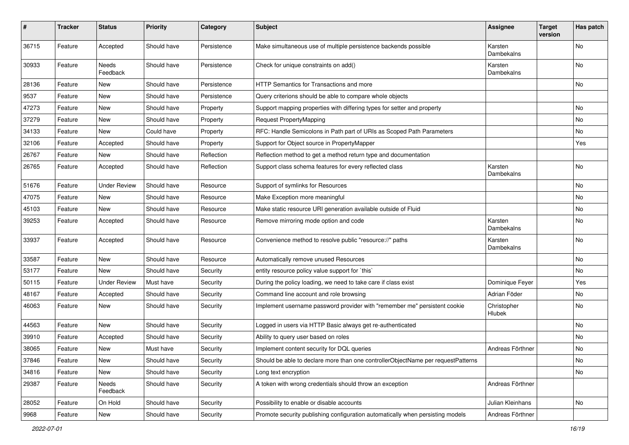| $\sharp$ | <b>Tracker</b> | <b>Status</b>            | <b>Priority</b> | Category    | <b>Subject</b>                                                                   | Assignee              | <b>Target</b><br>version | Has patch |
|----------|----------------|--------------------------|-----------------|-------------|----------------------------------------------------------------------------------|-----------------------|--------------------------|-----------|
| 36715    | Feature        | Accepted                 | Should have     | Persistence | Make simultaneous use of multiple persistence backends possible                  | Karsten<br>Dambekalns |                          | No        |
| 30933    | Feature        | <b>Needs</b><br>Feedback | Should have     | Persistence | Check for unique constraints on add()                                            | Karsten<br>Dambekalns |                          | <b>No</b> |
| 28136    | Feature        | <b>New</b>               | Should have     | Persistence | HTTP Semantics for Transactions and more                                         |                       |                          | No        |
| 9537     | Feature        | <b>New</b>               | Should have     | Persistence | Query criterions should be able to compare whole objects                         |                       |                          |           |
| 47273    | Feature        | <b>New</b>               | Should have     | Property    | Support mapping properties with differing types for setter and property          |                       |                          | No        |
| 37279    | Feature        | New                      | Should have     | Property    | Request PropertyMapping                                                          |                       |                          | No        |
| 34133    | Feature        | New                      | Could have      | Property    | RFC: Handle Semicolons in Path part of URIs as Scoped Path Parameters            |                       |                          | <b>No</b> |
| 32106    | Feature        | Accepted                 | Should have     | Property    | Support for Object source in PropertyMapper                                      |                       |                          | Yes       |
| 26767    | Feature        | New                      | Should have     | Reflection  | Reflection method to get a method return type and documentation                  |                       |                          |           |
| 26765    | Feature        | Accepted                 | Should have     | Reflection  | Support class schema features for every reflected class                          | Karsten<br>Dambekalns |                          | No        |
| 51676    | Feature        | <b>Under Review</b>      | Should have     | Resource    | Support of symlinks for Resources                                                |                       |                          | No        |
| 47075    | Feature        | <b>New</b>               | Should have     | Resource    | Make Exception more meaningful                                                   |                       |                          | No        |
| 45103    | Feature        | <b>New</b>               | Should have     | Resource    | Make static resource URI generation available outside of Fluid                   |                       |                          | No        |
| 39253    | Feature        | Accepted                 | Should have     | Resource    | Remove mirroring mode option and code                                            | Karsten<br>Dambekalns |                          | No        |
| 33937    | Feature        | Accepted                 | Should have     | Resource    | Convenience method to resolve public "resource://" paths                         | Karsten<br>Dambekalns |                          | No        |
| 33587    | Feature        | New                      | Should have     | Resource    | Automatically remove unused Resources                                            |                       |                          | No        |
| 53177    | Feature        | New                      | Should have     | Security    | entity resource policy value support for `this`                                  |                       |                          | No        |
| 50115    | Feature        | <b>Under Review</b>      | Must have       | Security    | During the policy loading, we need to take care if class exist                   | Dominique Feyer       |                          | Yes       |
| 48167    | Feature        | Accepted                 | Should have     | Security    | Command line account and role browsing                                           | Adrian Föder          |                          | No        |
| 46063    | Feature        | <b>New</b>               | Should have     | Security    | Implement username password provider with "remember me" persistent cookie        | Christopher<br>Hlubek |                          | No        |
| 44563    | Feature        | <b>New</b>               | Should have     | Security    | Logged in users via HTTP Basic always get re-authenticated                       |                       |                          | <b>No</b> |
| 39910    | Feature        | Accepted                 | Should have     | Security    | Ability to query user based on roles                                             |                       |                          | No        |
| 38065    | Feature        | <b>New</b>               | Must have       | Security    | Implement content security for DQL queries                                       | Andreas Förthner      |                          | No        |
| 37846    | Feature        | New                      | Should have     | Security    | Should be able to declare more than one controllerObjectName per requestPatterns |                       |                          | No        |
| 34816    | Feature        | New                      | Should have     | Security    | Long text encryption                                                             |                       |                          | No        |
| 29387    | Feature        | Needs<br>Feedback        | Should have     | Security    | A token with wrong credentials should throw an exception                         | Andreas Förthner      |                          |           |
| 28052    | Feature        | On Hold                  | Should have     | Security    | Possibility to enable or disable accounts                                        | Julian Kleinhans      |                          | No        |
| 9968     | Feature        | New                      | Should have     | Security    | Promote security publishing configuration automatically when persisting models   | Andreas Förthner      |                          |           |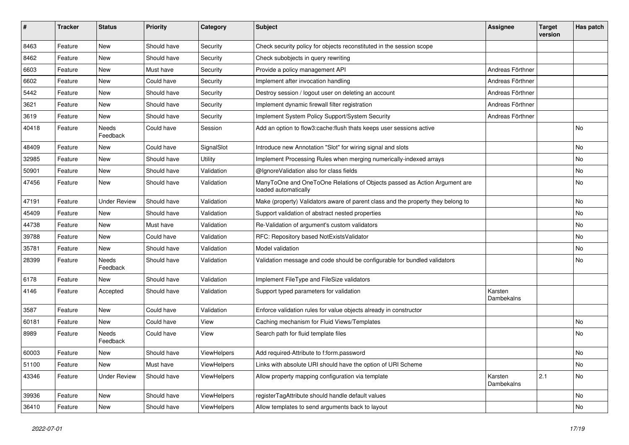| $\sharp$ | <b>Tracker</b> | <b>Status</b>       | <b>Priority</b> | Category    | <b>Subject</b>                                                                                    | <b>Assignee</b>       | <b>Target</b><br>version | Has patch |
|----------|----------------|---------------------|-----------------|-------------|---------------------------------------------------------------------------------------------------|-----------------------|--------------------------|-----------|
| 8463     | Feature        | <b>New</b>          | Should have     | Security    | Check security policy for objects reconstituted in the session scope                              |                       |                          |           |
| 8462     | Feature        | New                 | Should have     | Security    | Check subobjects in query rewriting                                                               |                       |                          |           |
| 6603     | Feature        | <b>New</b>          | Must have       | Security    | Provide a policy management API                                                                   | Andreas Förthner      |                          |           |
| 6602     | Feature        | <b>New</b>          | Could have      | Security    | Implement after invocation handling                                                               | Andreas Förthner      |                          |           |
| 5442     | Feature        | New                 | Should have     | Security    | Destroy session / logout user on deleting an account                                              | Andreas Förthner      |                          |           |
| 3621     | Feature        | <b>New</b>          | Should have     | Security    | Implement dynamic firewall filter registration                                                    | Andreas Förthner      |                          |           |
| 3619     | Feature        | New                 | Should have     | Security    | Implement System Policy Support/System Security                                                   | Andreas Förthner      |                          |           |
| 40418    | Feature        | Needs<br>Feedback   | Could have      | Session     | Add an option to flow3:cache:flush thats keeps user sessions active                               |                       |                          | No        |
| 48409    | Feature        | <b>New</b>          | Could have      | SignalSlot  | Introduce new Annotation "Slot" for wiring signal and slots                                       |                       |                          | <b>No</b> |
| 32985    | Feature        | <b>New</b>          | Should have     | Utility     | Implement Processing Rules when merging numerically-indexed arrays                                |                       |                          | No        |
| 50901    | Feature        | <b>New</b>          | Should have     | Validation  | @IgnoreValidation also for class fields                                                           |                       |                          | No        |
| 47456    | Feature        | New                 | Should have     | Validation  | ManyToOne and OneToOne Relations of Objects passed as Action Argument are<br>loaded automatically |                       |                          | No        |
| 47191    | Feature        | <b>Under Review</b> | Should have     | Validation  | Make (property) Validators aware of parent class and the property they belong to                  |                       |                          | No        |
| 45409    | Feature        | <b>New</b>          | Should have     | Validation  | Support validation of abstract nested properties                                                  |                       |                          | No        |
| 44738    | Feature        | <b>New</b>          | Must have       | Validation  | Re-Validation of argument's custom validators                                                     |                       |                          | No        |
| 39788    | Feature        | <b>New</b>          | Could have      | Validation  | RFC: Repository based NotExistsValidator                                                          |                       |                          | No        |
| 35781    | Feature        | <b>New</b>          | Should have     | Validation  | Model validation                                                                                  |                       |                          | No        |
| 28399    | Feature        | Needs<br>Feedback   | Should have     | Validation  | Validation message and code should be configurable for bundled validators                         |                       |                          | No        |
| 6178     | Feature        | <b>New</b>          | Should have     | Validation  | Implement FileType and FileSize validators                                                        |                       |                          |           |
| 4146     | Feature        | Accepted            | Should have     | Validation  | Support typed parameters for validation                                                           | Karsten<br>Dambekalns |                          |           |
| 3587     | Feature        | <b>New</b>          | Could have      | Validation  | Enforce validation rules for value objects already in constructor                                 |                       |                          |           |
| 60181    | Feature        | New                 | Could have      | View        | Caching mechanism for Fluid Views/Templates                                                       |                       |                          | No        |
| 8989     | Feature        | Needs<br>Feedback   | Could have      | View        | Search path for fluid template files                                                              |                       |                          | No        |
| 60003    | Feature        | New                 | Should have     | ViewHelpers | Add required-Attribute to f:form.password                                                         |                       |                          | No        |
| 51100    | Feature        | New                 | Must have       | ViewHelpers | Links with absolute URI should have the option of URI Scheme                                      |                       |                          | No        |
| 43346    | Feature        | <b>Under Review</b> | Should have     | ViewHelpers | Allow property mapping configuration via template                                                 | Karsten<br>Dambekalns | 2.1                      | No        |
| 39936    | Feature        | New                 | Should have     | ViewHelpers | registerTagAttribute should handle default values                                                 |                       |                          | No        |
| 36410    | Feature        | New                 | Should have     | ViewHelpers | Allow templates to send arguments back to layout                                                  |                       |                          | No        |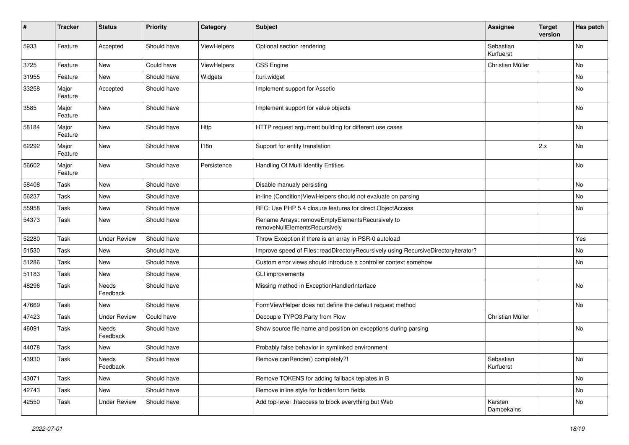| #     | <b>Tracker</b>   | <b>Status</b>       | <b>Priority</b> | Category    | <b>Subject</b>                                                                     | Assignee               | <b>Target</b><br>version | Has patch |
|-------|------------------|---------------------|-----------------|-------------|------------------------------------------------------------------------------------|------------------------|--------------------------|-----------|
| 5933  | Feature          | Accepted            | Should have     | ViewHelpers | Optional section rendering                                                         | Sebastian<br>Kurfuerst |                          | <b>No</b> |
| 3725  | Feature          | New                 | Could have      | ViewHelpers | <b>CSS Engine</b>                                                                  | Christian Müller       |                          | No        |
| 31955 | Feature          | <b>New</b>          | Should have     | Widgets     | f:uri.widget                                                                       |                        |                          | No        |
| 33258 | Major<br>Feature | Accepted            | Should have     |             | Implement support for Assetic                                                      |                        |                          | No        |
| 3585  | Major<br>Feature | <b>New</b>          | Should have     |             | Implement support for value objects                                                |                        |                          | No        |
| 58184 | Major<br>Feature | New                 | Should have     | Http        | HTTP request argument building for different use cases                             |                        |                          | <b>No</b> |
| 62292 | Major<br>Feature | <b>New</b>          | Should have     | 118n        | Support for entity translation                                                     |                        | 2.x                      | <b>No</b> |
| 56602 | Major<br>Feature | New                 | Should have     | Persistence | Handling Of Multi Identity Entities                                                |                        |                          | <b>No</b> |
| 58408 | Task             | <b>New</b>          | Should have     |             | Disable manualy persisting                                                         |                        |                          | <b>No</b> |
| 56237 | Task             | New                 | Should have     |             | in-line (Condition) ViewHelpers should not evaluate on parsing                     |                        |                          | No        |
| 55958 | Task             | <b>New</b>          | Should have     |             | RFC: Use PHP 5.4 closure features for direct ObjectAccess                          |                        |                          | No        |
| 54373 | Task             | New                 | Should have     |             | Rename Arrays::removeEmptyElementsRecursively to<br>removeNullElementsRecursively  |                        |                          |           |
| 52280 | Task             | <b>Under Review</b> | Should have     |             | Throw Exception if there is an array in PSR-0 autoload                             |                        |                          | Yes       |
| 51530 | Task             | New                 | Should have     |             | Improve speed of Files::readDirectoryRecursively using RecursiveDirectoryIterator? |                        |                          | No        |
| 51286 | Task             | New                 | Should have     |             | Custom error views should introduce a controller context somehow                   |                        |                          | No        |
| 51183 | Task             | <b>New</b>          | Should have     |             | CLI improvements                                                                   |                        |                          |           |
| 48296 | Task             | Needs<br>Feedback   | Should have     |             | Missing method in ExceptionHandlerInterface                                        |                        |                          | <b>No</b> |
| 47669 | Task             | New                 | Should have     |             | FormViewHelper does not define the default request method                          |                        |                          | No        |
| 47423 | Task             | <b>Under Review</b> | Could have      |             | Decouple TYPO3.Party from Flow                                                     | Christian Müller       |                          |           |
| 46091 | Task             | Needs<br>Feedback   | Should have     |             | Show source file name and position on exceptions during parsing                    |                        |                          | No        |
| 44078 | Task             | New                 | Should have     |             | Probably false behavior in symlinked environment                                   |                        |                          |           |
| 43930 | Task             | Needs<br>Feedback   | Should have     |             | Remove canRender() completely?!                                                    | Sebastian<br>Kurfuerst |                          | No        |
| 43071 | Task             | New                 | Should have     |             | Remove TOKENS for adding fallback teplates in B                                    |                        |                          | No        |
| 42743 | Task             | New                 | Should have     |             | Remove inline style for hidden form fields                                         |                        |                          | No        |
| 42550 | Task             | <b>Under Review</b> | Should have     |             | Add top-level .htaccess to block everything but Web                                | Karsten<br>Dambekalns  |                          | No        |